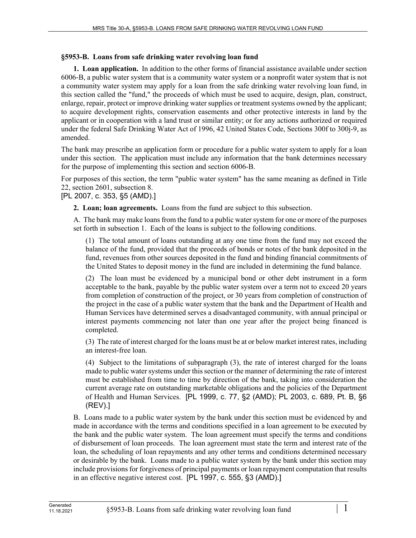## **§5953-B. Loans from safe drinking water revolving loan fund**

**1. Loan application.** In addition to the other forms of financial assistance available under section 6006‑B, a public water system that is a community water system or a nonprofit water system that is not a community water system may apply for a loan from the safe drinking water revolving loan fund, in this section called the "fund," the proceeds of which must be used to acquire, design, plan, construct, enlarge, repair, protect or improve drinking water supplies or treatment systems owned by the applicant; to acquire development rights, conservation easements and other protective interests in land by the applicant or in cooperation with a land trust or similar entity; or for any actions authorized or required under the federal Safe Drinking Water Act of 1996, 42 United States Code, Sections 300f to 300j-9, as amended.

The bank may prescribe an application form or procedure for a public water system to apply for a loan under this section. The application must include any information that the bank determines necessary for the purpose of implementing this section and section 6006-B.

For purposes of this section, the term "public water system" has the same meaning as defined in Title 22, section 2601, subsection 8.

## [PL 2007, c. 353, §5 (AMD).]

**2. Loan; loan agreements.** Loans from the fund are subject to this subsection.

A. The bank may make loans from the fund to a public water system for one or more of the purposes set forth in subsection 1. Each of the loans is subject to the following conditions.

(1) The total amount of loans outstanding at any one time from the fund may not exceed the balance of the fund, provided that the proceeds of bonds or notes of the bank deposited in the fund, revenues from other sources deposited in the fund and binding financial commitments of the United States to deposit money in the fund are included in determining the fund balance.

(2) The loan must be evidenced by a municipal bond or other debt instrument in a form acceptable to the bank, payable by the public water system over a term not to exceed 20 years from completion of construction of the project, or 30 years from completion of construction of the project in the case of a public water system that the bank and the Department of Health and Human Services have determined serves a disadvantaged community, with annual principal or interest payments commencing not later than one year after the project being financed is completed.

(3) The rate of interest charged for the loans must be at or below market interest rates, including an interest-free loan.

(4) Subject to the limitations of subparagraph (3), the rate of interest charged for the loans made to public water systems under this section or the manner of determining the rate of interest must be established from time to time by direction of the bank, taking into consideration the current average rate on outstanding marketable obligations and the policies of the Department of Health and Human Services. [PL 1999, c. 77, §2 (AMD); PL 2003, c. 689, Pt. B, §6 (REV).]

B. Loans made to a public water system by the bank under this section must be evidenced by and made in accordance with the terms and conditions specified in a loan agreement to be executed by the bank and the public water system. The loan agreement must specify the terms and conditions of disbursement of loan proceeds. The loan agreement must state the term and interest rate of the loan, the scheduling of loan repayments and any other terms and conditions determined necessary or desirable by the bank. Loans made to a public water system by the bank under this section may include provisions for forgiveness of principal payments or loan repayment computation that results in an effective negative interest cost. [PL 1997, c. 555, §3 (AMD).]